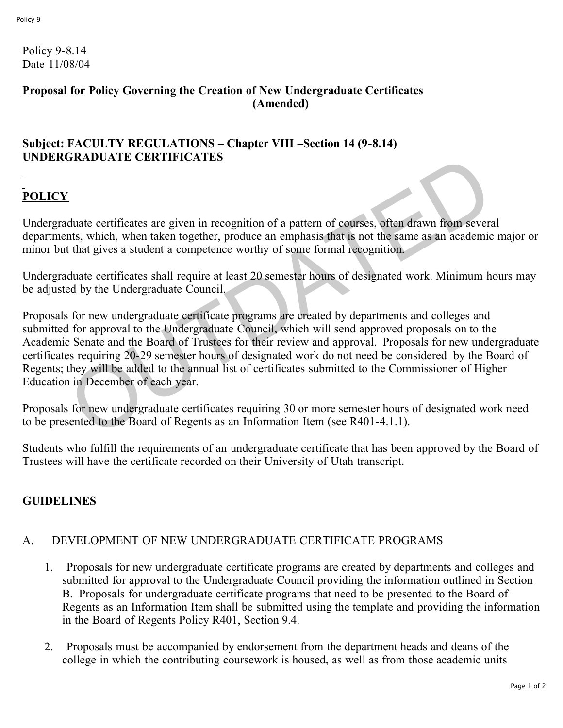Policy 9-8.14 Date 11/08/04

#### **Proposal for Policy Governing the Creation of New Undergraduate Certificates (Amended)**

### **Subject: FACULTY REGULATIONS – Chapter VIII –Section 14 (9-8.14) UNDERGRADUATE CERTIFICATES**

# **POLICY**

Undergraduate certificates are given in recognition of a pattern of courses, often drawn from several departments, which, when taken together, produce an emphasis that is not the same as an academic major or minor but that gives a student a competence worthy of some formal recognition.

Undergraduate certificates shall require at least 20 semester hours of designated work. Minimum hours may be adjusted by the Undergraduate Council.

Proposals for new undergraduate certificate programs are created by departments and colleges and submitted for approval to the Undergraduate Council, which will send approved proposals on to the Academic Senate and the Board of Trustees for their review and approval. Proposals for new undergraduate certificates requiring 20-29 semester hours of designated work do not need be considered by the Board of Regents; they will be added to the annual list of certificates submitted to the Commissioner of Higher Education in December of each year. CONSIDENT EXAMPLATES<br>
2. duate certificates are given in recognition of a pattern of courses, often drawn from severants, which, when taken together, produce an emphasis that is not the same as an academic<br>
that gives a s

Proposals for new undergraduate certificates requiring 30 or more semester hours of designated work need to be presented to the Board of Regents as an Information Item (see R401-4.1.1).

Students who fulfill the requirements of an undergraduate certificate that has been approved by the Board of Trustees will have the certificate recorded on their University of Utah transcript.

## **GUIDELINES**

## A. DEVELOPMENT OF NEW UNDERGRADUATE CERTIFICATE PROGRAMS

- 1. Proposals for new undergraduate certificate programs are created by departments and colleges and submitted for approval to the Undergraduate Council providing the information outlined in Section B. Proposals for undergraduate certificate programs that need to be presented to the Board of Regents as an Information Item shall be submitted using the template and providing the information in the Board of Regents Policy R401, Section 9.4.
- 2. Proposals must be accompanied by endorsement from the department heads and deans of the college in which the contributing coursework is housed, as well as from those academic units